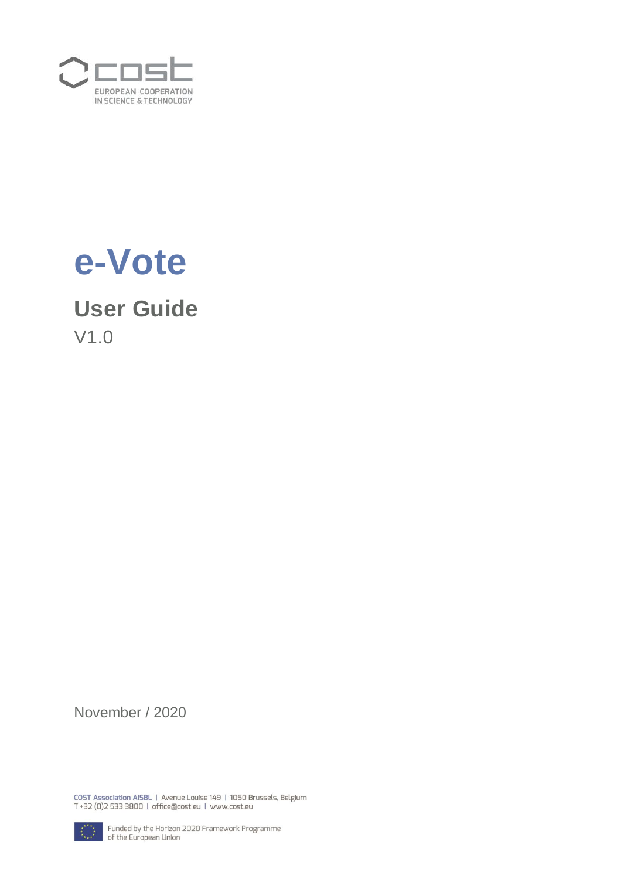



# **User Guide**

V1.0

November / 2020

COST Association AISBL | Avenue Louise 149 | 1050 Brussels, Belgium<br>T +32 (0)2 533 3800 | office@cost.eu | www.cost.eu



Funded by the Horizon 2020 Framework Programme<br>of the European Union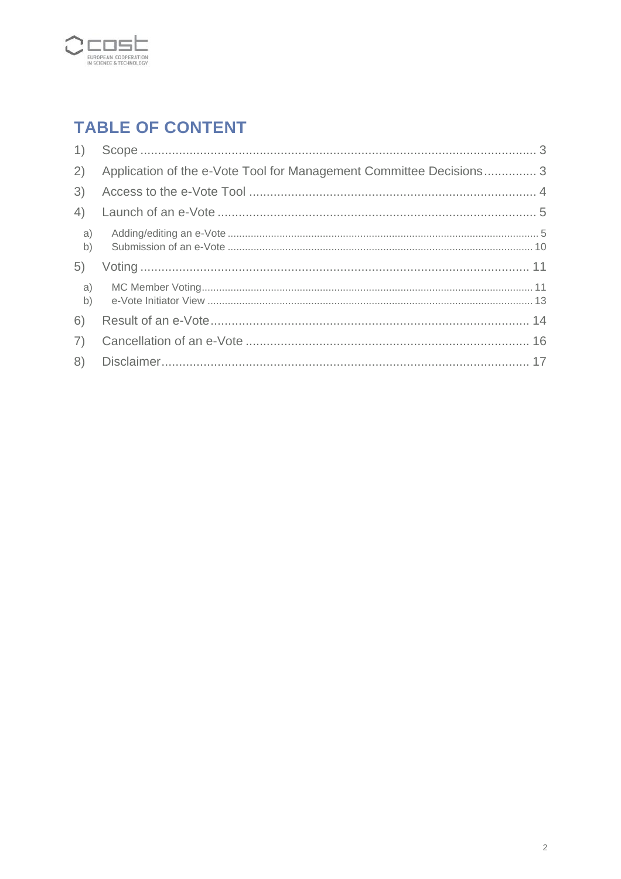

## **TABLE OF CONTENT**

|              | 2) Application of the e-Vote Tool for Management Committee Decisions 3 |
|--------------|------------------------------------------------------------------------|
| 3)           |                                                                        |
| 4)           |                                                                        |
| a)<br>b)     |                                                                        |
| 5)           |                                                                        |
| $\mathsf{b}$ |                                                                        |
| 6)           |                                                                        |
| 7)           |                                                                        |
| 8)           |                                                                        |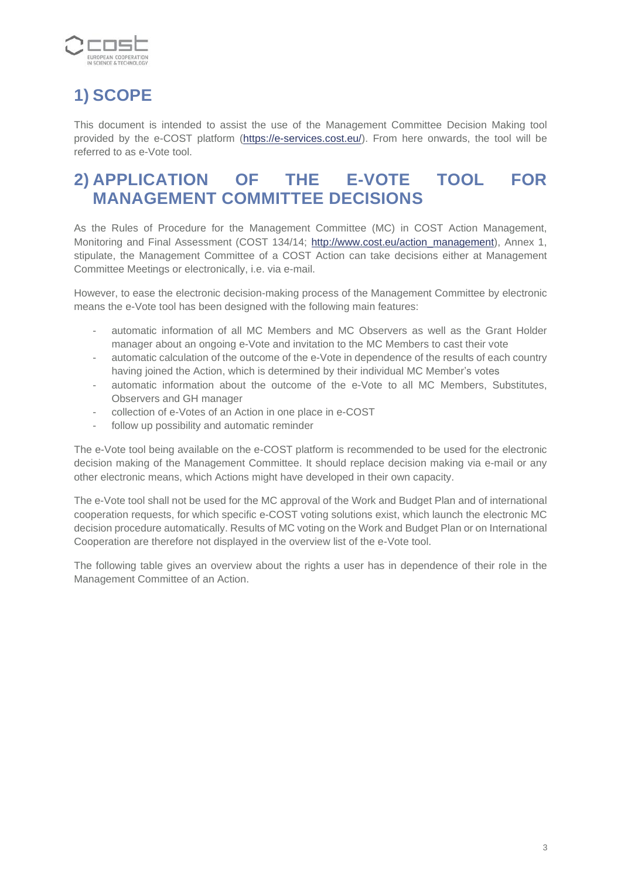

# <span id="page-2-0"></span>**1) SCOPE**

This document is intended to assist the use of the Management Committee Decision Making tool provided by the e-COST platform [\(https://e-services.cost.eu/\)](https://e-services.cost.eu/). From here onwards, the tool will be referred to as e-Vote tool.

### <span id="page-2-1"></span>**2) APPLICATION OF THE E-VOTE TOOL FOR MANAGEMENT COMMITTEE DECISIONS**

As the Rules of Procedure for the Management Committee (MC) in COST Action Management, Monitoring and Final Assessment (COST 134/14; [http://www.cost.eu/action\\_management\)](http://www.cost.eu/action_management), Annex 1, stipulate, the Management Committee of a COST Action can take decisions either at Management Committee Meetings or electronically, i.e. via e-mail.

However, to ease the electronic decision-making process of the Management Committee by electronic means the e-Vote tool has been designed with the following main features:

- automatic information of all MC Members and MC Observers as well as the Grant Holder manager about an ongoing e-Vote and invitation to the MC Members to cast their vote
- automatic calculation of the outcome of the e-Vote in dependence of the results of each country having joined the Action, which is determined by their individual MC Member's votes
- automatic information about the outcome of the e-Vote to all MC Members, Substitutes, Observers and GH manager
- collection of e-Votes of an Action in one place in e-COST
- follow up possibility and automatic reminder

The e-Vote tool being available on the e-COST platform is recommended to be used for the electronic decision making of the Management Committee. It should replace decision making via e-mail or any other electronic means, which Actions might have developed in their own capacity.

The e-Vote tool shall not be used for the MC approval of the Work and Budget Plan and of international cooperation requests, for which specific e-COST voting solutions exist, which launch the electronic MC decision procedure automatically. Results of MC voting on the Work and Budget Plan or on International Cooperation are therefore not displayed in the overview list of the e-Vote tool.

The following table gives an overview about the rights a user has in dependence of their role in the Management Committee of an Action.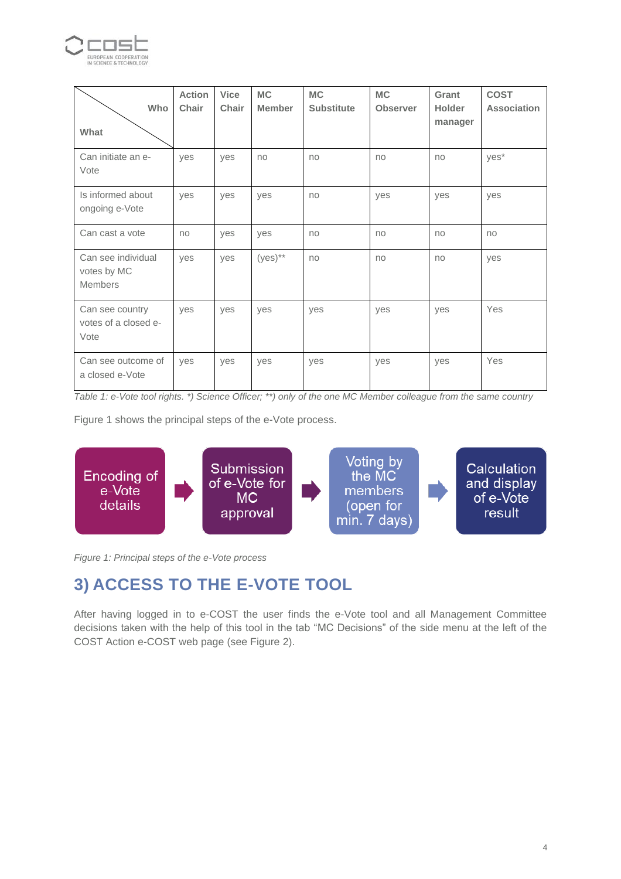

| Who<br>What                                         | <b>Action</b><br>Chair | <b>Vice</b><br>Chair | <b>MC</b><br><b>Member</b> | <b>MC</b><br><b>Substitute</b> | <b>MC</b><br><b>Observer</b> | Grant<br><b>Holder</b><br>manager | <b>COST</b><br><b>Association</b> |
|-----------------------------------------------------|------------------------|----------------------|----------------------------|--------------------------------|------------------------------|-----------------------------------|-----------------------------------|
| Can initiate an e-<br>Vote                          | yes                    | yes                  | no                         | no                             | no                           | no                                | yes*                              |
| Is informed about<br>ongoing e-Vote                 | yes                    | yes                  | yes                        | no                             | yes                          | yes                               | yes                               |
| Can cast a vote                                     | no                     | yes                  | yes                        | no                             | no                           | no                                | no                                |
| Can see individual<br>votes by MC<br><b>Members</b> | yes                    | yes                  | $(yes)$ **                 | no                             | no                           | no                                | yes                               |
| Can see country<br>votes of a closed e-<br>Vote     | yes                    | yes                  | yes                        | yes                            | yes                          | yes                               | Yes                               |
| Can see outcome of<br>a closed e-Vote               | yes                    | yes                  | yes                        | yes                            | yes                          | yes                               | Yes                               |

*Table 1: e-Vote tool rights. \*) Science Officer; \*\*) only of the one MC Member colleague from the same country* 

[Figure 1](#page-3-1) shows the principal steps of the e-Vote process.



<span id="page-3-1"></span>*Figure 1: Principal steps of the e-Vote process*

### <span id="page-3-0"></span>**3) ACCESS TO THE E-VOTE TOOL**

After having logged in to e-COST the user finds the e-Vote tool and all Management Committee decisions taken with the help of this tool in the tab "MC Decisions" of the side menu at the left of the COST Action e-COST web page (see [Figure 2\)](#page-4-2).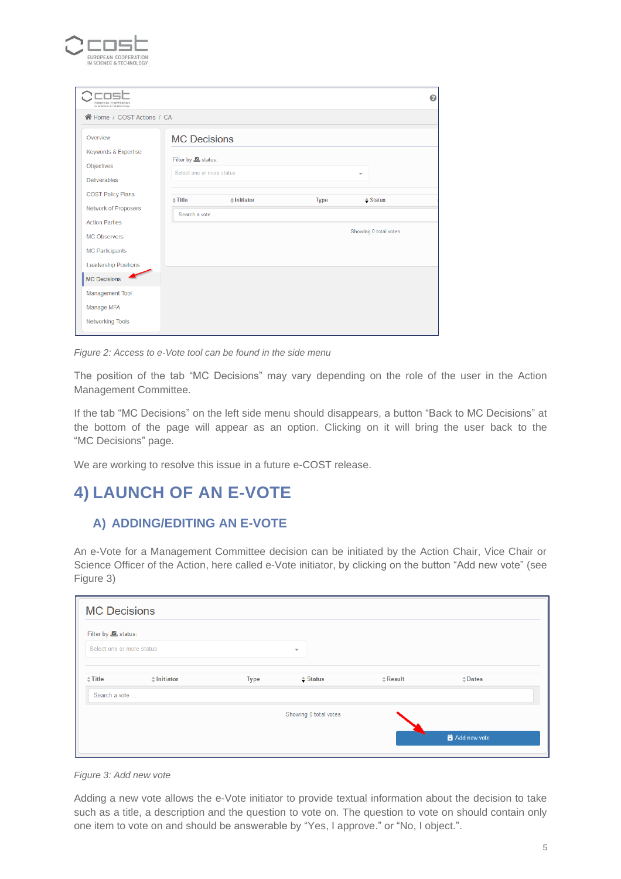

| EUROPEAN COOPERATIO<br>IN SCIENCE & TECHNOLOGY        |                               |                       |             |                          | 0 |
|-------------------------------------------------------|-------------------------------|-----------------------|-------------|--------------------------|---|
| 谷 Home / COST Actions / CA                            |                               |                       |             |                          |   |
| Overview                                              | <b>MC Decisions</b>           |                       |             |                          |   |
| Keywords & Expertise                                  | Filter by <b>Le</b> , status: |                       |             |                          |   |
| Objectives                                            | Select one or more status     |                       |             | $\overline{\phantom{a}}$ |   |
| <b>Deliverables</b>                                   |                               |                       |             |                          |   |
| <b>COST Policy Plans</b>                              | $\triangleq$ Title            | $\triangle$ Initiator | <b>Type</b> | $\triangle$ Status       |   |
| <b>Network of Proposers</b>                           | Search a vote                 |                       |             |                          |   |
| <b>Action Parties</b>                                 |                               |                       |             | Showing 0 total votes    |   |
| <b>MC Observers</b>                                   |                               |                       |             |                          |   |
| <b>MC Participants</b><br><b>Leadership Positions</b> |                               |                       |             |                          |   |
| <b>MC Decisions</b>                                   |                               |                       |             |                          |   |
| Management Tool                                       |                               |                       |             |                          |   |
| Manage MFA                                            |                               |                       |             |                          |   |
| <b>Networking Tools</b>                               |                               |                       |             |                          |   |

<span id="page-4-2"></span>*Figure 2: Access to e-Vote tool can be found in the side menu*

The position of the tab "MC Decisions" may vary depending on the role of the user in the Action Management Committee.

If the tab "MC Decisions" on the left side menu should disappears, a button "Back to MC Decisions" at the bottom of the page will appear as an option. Clicking on it will bring the user back to the "MC Decisions" page.

We are working to resolve this issue in a future e-COST release.

### <span id="page-4-0"></span>**4) LAUNCH OF AN E-VOTE**

#### <span id="page-4-1"></span>**A) ADDING/EDITING AN E-VOTE**

An e-Vote for a Management Committee decision can be initiated by the Action Chair, Vice Chair or Science Officer of the Action, here called e-Vote initiator, by clicking on the button "Add new vote" (see [Figure 3\)](#page-4-3)

| <b>MC Decisions</b>           |             |                          |                    |                   |
|-------------------------------|-------------|--------------------------|--------------------|-------------------|
| Filter by <b>Le</b> , status: |             |                          |                    |                   |
| Select one or more status     |             | $\overline{\phantom{m}}$ |                    |                   |
| $\triangleq$ Initiator        | <b>Type</b> | $\triangleq$ Status      | $\triangle$ Result | $\triangle$ Dates |
| Search a vote                 |             |                          |                    |                   |
|                               |             | Showing 0 total votes    |                    |                   |
|                               |             |                          |                    | Add new vote      |
|                               |             |                          |                    |                   |

<span id="page-4-3"></span>

Adding a new vote allows the e-Vote initiator to provide textual information about the decision to take such as a title, a description and the question to vote on. The question to vote on should contain only one item to vote on and should be answerable by "Yes, I approve." or "No, I object.".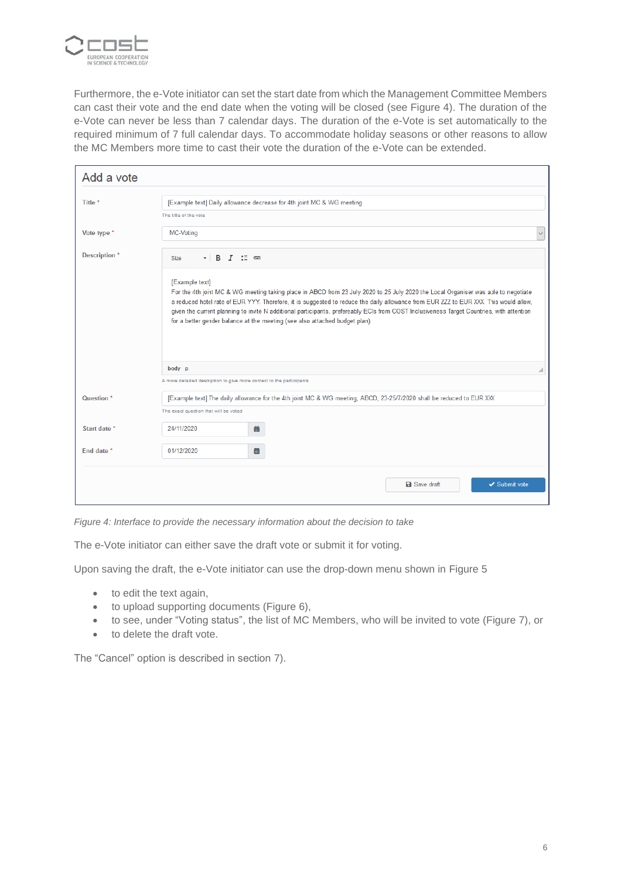

Furthermore, the e-Vote initiator can set the start date from which the Management Committee Members can cast their vote and the end date when the voting will be closed (see [Figure 4\)](#page-5-0). The duration of the e-Vote can never be less than 7 calendar days. The duration of the e-Vote is set automatically to the required minimum of 7 full calendar days. To accommodate holiday seasons or other reasons to allow the MC Members more time to cast their vote the duration of the e-Vote can be extended.

| Add a vote               |                                                                                                                                                                                                                                                                                                                                                                                                                                                                                                                          |   |
|--------------------------|--------------------------------------------------------------------------------------------------------------------------------------------------------------------------------------------------------------------------------------------------------------------------------------------------------------------------------------------------------------------------------------------------------------------------------------------------------------------------------------------------------------------------|---|
| Title *                  | [Example text] Daily allowance decrease for 4th joint MC & WG meeting                                                                                                                                                                                                                                                                                                                                                                                                                                                    |   |
|                          | The title of the vote                                                                                                                                                                                                                                                                                                                                                                                                                                                                                                    |   |
| Vote type *              | <b>MC-Voting</b>                                                                                                                                                                                                                                                                                                                                                                                                                                                                                                         |   |
| Description <sup>*</sup> | B<br>$I \cong \circledast$<br><b>Size</b><br>$\scriptstyle\star$                                                                                                                                                                                                                                                                                                                                                                                                                                                         |   |
|                          | [Example text]<br>For the 4th joint MC & WG meeting taking place in ABCD from 23 July 2020 to 25 July 2020 the Local Organiser was able to negotiate<br>a reduced hotel rate of EUR YYY. Therefore, it is suggested to reduce the daily allowance from EUR ZZZ to EUR XXX. This would allow,<br>given the current planning to invite N additional participants, prefereably ECIs from COST Inclusiveness Target Countries, with attention<br>for a better gender balance at the meeting (see also attached budget plan). |   |
|                          | body p                                                                                                                                                                                                                                                                                                                                                                                                                                                                                                                   | ◢ |
|                          | A more detailed description to give more context to the participants                                                                                                                                                                                                                                                                                                                                                                                                                                                     |   |
| Question <sup>*</sup>    | [Example text] The daily allowance for the 4th joint MC & WG meeting, ABCD, 23-25/7/2020 shall be reduced to EUR XXX                                                                                                                                                                                                                                                                                                                                                                                                     |   |
|                          | The exact question that will be voted                                                                                                                                                                                                                                                                                                                                                                                                                                                                                    |   |
| Start date *             | 24/11/2020<br>藟                                                                                                                                                                                                                                                                                                                                                                                                                                                                                                          |   |
| End date *               | 曲<br>01/12/2020                                                                                                                                                                                                                                                                                                                                                                                                                                                                                                          |   |
|                          | <b>a</b> Save draft<br>✔ Submit vote                                                                                                                                                                                                                                                                                                                                                                                                                                                                                     |   |

<span id="page-5-0"></span>*Figure 4: Interface to provide the necessary information about the decision to take*

The e-Vote initiator can either save the draft vote or submit it for voting.

Upon saving the draft, the e-Vote initiator can use the drop-down menu shown in [Figure 5](#page-6-0)

- to edit the text again,
- to upload supporting documents [\(Figure 6\)](#page-6-1),
- to see, under "Voting status", the list of MC Members, who will be invited to vote [\(Figure 7\)](#page-6-2), or
- to delete the draft vote.

The "Cancel" option is described in section [7\).](#page-15-0)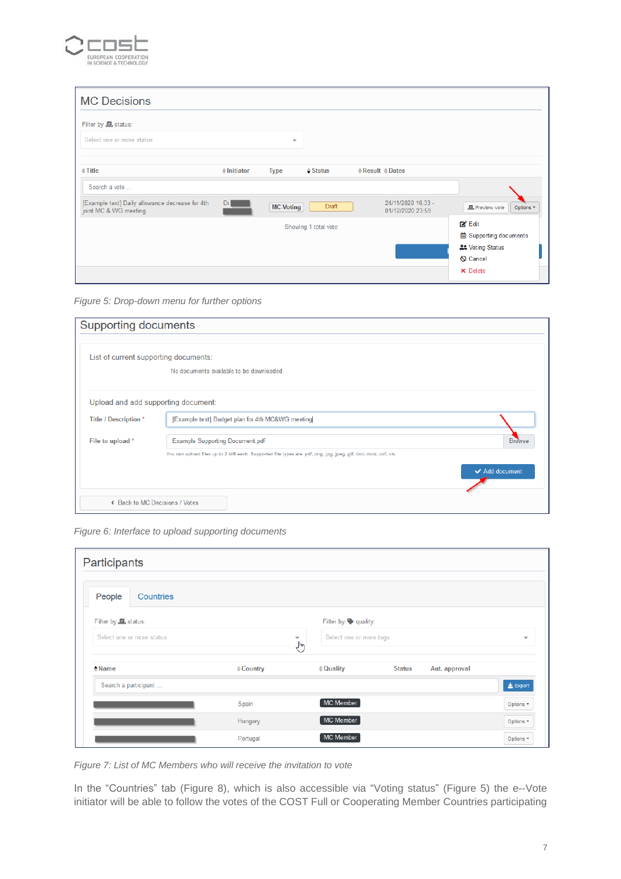

| <b>MC Decisions</b>                                                      |                        |                         |                      |                                      |                                        |                               |
|--------------------------------------------------------------------------|------------------------|-------------------------|----------------------|--------------------------------------|----------------------------------------|-------------------------------|
| Filter by <b>Let</b> status:                                             |                        |                         |                      |                                      |                                        |                               |
| Select one or more status                                                |                        | $\overline{\mathbf{v}}$ |                      |                                      |                                        |                               |
| $\div$ Title                                                             | $\triangleq$ Initiator | <b>Type</b>             | $\triangle$ Status   | $\triangle$ Result $\triangle$ Dates |                                        |                               |
| Search a vote                                                            |                        |                         |                      |                                      |                                        |                               |
| [Example text] Daily allowance decrease for 4th<br>joint MC & WG meeting | Dr                     | <b>MC-Voting</b>        | Draft                |                                      | 24/11/2020 16:33 -<br>01/12/2020 23:59 | Preview vote<br>Options -     |
|                                                                          |                        |                         | Showing 1 total vote |                                      |                                        | $Z$ Edit                      |
|                                                                          |                        |                         |                      |                                      |                                        | <b>茴 Supporting documents</b> |
|                                                                          |                        |                         |                      |                                      |                                        | <b>21 Voting Status</b>       |
|                                                                          |                        |                         |                      |                                      |                                        | <b>Q</b> Cancel               |
|                                                                          |                        |                         |                      |                                      |                                        | <b>×</b> Delete               |

<span id="page-6-0"></span>*Figure 5: Drop-down menu for further options*

| <b>Supporting documents</b>           |                                                                                                                |                |
|---------------------------------------|----------------------------------------------------------------------------------------------------------------|----------------|
|                                       |                                                                                                                |                |
| List of current supporting documents: |                                                                                                                |                |
|                                       | No documents available to be downloaded.                                                                       |                |
|                                       |                                                                                                                |                |
| Upload and add supporting document:   |                                                                                                                |                |
| Title / Description *                 | [Example text] Budget plan for 4th MC&WG meeting                                                               |                |
| File to upload *                      | <b>Example Supporting Document.pdf</b>                                                                         | <b>Browse</b>  |
|                                       | You can upload files up to 2 MB each. Supported file types are: pdf, png, jpg, jpeg, gif, doc, docx, odf, xls. |                |
|                                       |                                                                                                                | ← Add document |
| ← Back to MC Decisions / Votes        |                                                                                                                |                |

<span id="page-6-1"></span>*Figure 6: Interface to upload supporting documents*

| Participants                 |                     |                                                                                         |  |  |  |  |  |  |  |
|------------------------------|---------------------|-----------------------------------------------------------------------------------------|--|--|--|--|--|--|--|
| People<br>Countries          |                     |                                                                                         |  |  |  |  |  |  |  |
| Filter by <b>Let</b> status: |                     | Filter by $\blacklozenge$ quality:                                                      |  |  |  |  |  |  |  |
| Select one or more status    |                     | Select one or more tags<br>$\overline{\phantom{a}}$<br>$\overline{\phantom{a}}$<br>لسيك |  |  |  |  |  |  |  |
| $M$ ame                      | $\triangle$ Country | <b>Status</b><br>$\doteq$ Quality<br>Aut. approval                                      |  |  |  |  |  |  |  |
| Search a participant         |                     | <b>上</b> Export                                                                         |  |  |  |  |  |  |  |
|                              | Spain               | MC Member<br>Options -                                                                  |  |  |  |  |  |  |  |
|                              | Hungary             | MC Member<br>Options -                                                                  |  |  |  |  |  |  |  |
|                              | Portugal            | MC Member<br>Options -                                                                  |  |  |  |  |  |  |  |

<span id="page-6-2"></span>*Figure 7: List of MC Members who will receive the invitation to vote*

In the "Countries" tab [\(Figure 8\)](#page-7-0), which is also accessible via "Voting status" [\(Figure 5\)](#page-6-0) the e--Vote initiator will be able to follow the votes of the COST Full or Cooperating Member Countries participating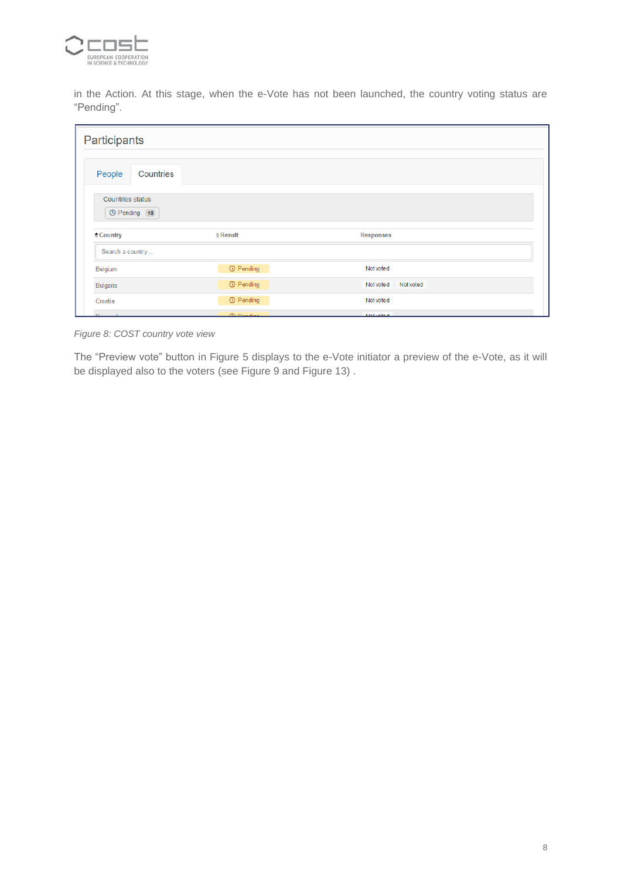

in the Action. At this stage, when the e-Vote has not been launched, the country voting status are "Pending".

| Participants                                       |                          |                        |  |
|----------------------------------------------------|--------------------------|------------------------|--|
| People<br>Countries                                |                          |                        |  |
| <b>Countries status</b><br><sup>O</sup> Pending 18 |                          |                        |  |
| $\triangle$ Country                                | $\Leftrightarrow$ Result | <b>Responses</b>       |  |
| Search a country                                   |                          |                        |  |
| Belgium                                            | <b>C</b> Pending         | Not voted              |  |
| Bulgaria                                           | <b>① Pending</b>         | Not voted<br>Not voted |  |
| Croatia                                            | <b>① Pending</b>         | Not voted              |  |
| Danmark                                            | <b>C</b> Ponding         | <b>Notwoted</b>        |  |

<span id="page-7-0"></span>*Figure 8: COST country vote view*

The "Preview vote" button in [Figure 5](#page-6-0) displays to the e-Vote initiator a preview of the e-Vote, as it will be displayed also to the voters (see [Figure 9](#page-8-0) and [Figure 13\)](#page-11-0) .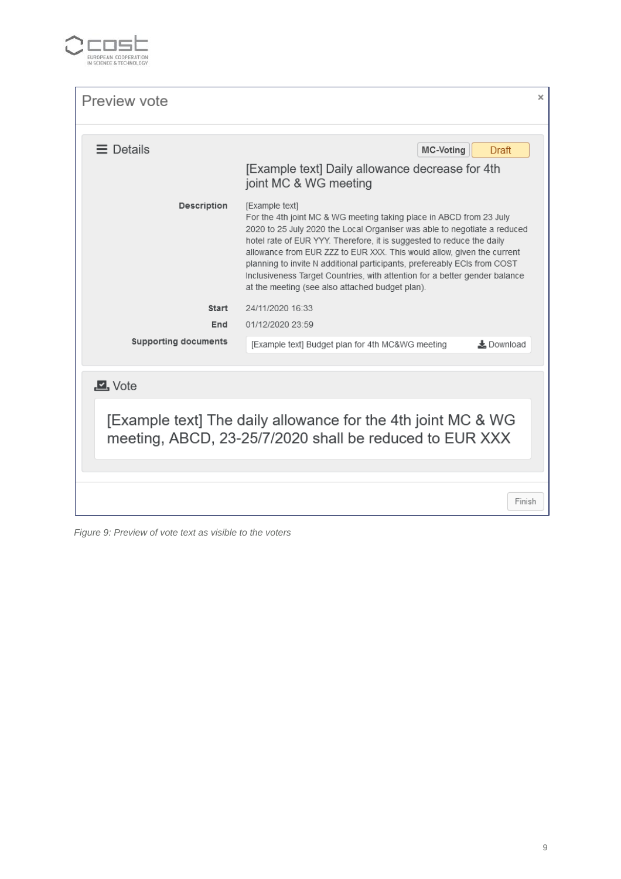

| Preview vote                                                                                                            | ×                                                                                                                                                                                                                                                                                                                                                                                                                                                                                                                                 |  |  |  |  |  |  |
|-------------------------------------------------------------------------------------------------------------------------|-----------------------------------------------------------------------------------------------------------------------------------------------------------------------------------------------------------------------------------------------------------------------------------------------------------------------------------------------------------------------------------------------------------------------------------------------------------------------------------------------------------------------------------|--|--|--|--|--|--|
| $\equiv$ Details                                                                                                        | MC-Voting<br>Draft                                                                                                                                                                                                                                                                                                                                                                                                                                                                                                                |  |  |  |  |  |  |
|                                                                                                                         | [Example text] Daily allowance decrease for 4th<br>joint MC & WG meeting                                                                                                                                                                                                                                                                                                                                                                                                                                                          |  |  |  |  |  |  |
| Description                                                                                                             | [Example text]<br>For the 4th joint MC & WG meeting taking place in ABCD from 23 July<br>2020 to 25 July 2020 the Local Organiser was able to negotiate a reduced<br>hotel rate of EUR YYY. Therefore, it is suggested to reduce the daily<br>allowance from EUR ZZZ to EUR XXX. This would allow, given the current<br>planning to invite N additional participants, prefereably ECIs from COST<br>Inclusiveness Target Countries, with attention for a better gender balance<br>at the meeting (see also attached budget plan). |  |  |  |  |  |  |
| Start                                                                                                                   | 24/11/2020 16:33                                                                                                                                                                                                                                                                                                                                                                                                                                                                                                                  |  |  |  |  |  |  |
| End                                                                                                                     | 01/12/2020 23:59                                                                                                                                                                                                                                                                                                                                                                                                                                                                                                                  |  |  |  |  |  |  |
| <b>Supporting documents</b>                                                                                             | 上 Download<br>[Example text] Budget plan for 4th MC&WG meeting                                                                                                                                                                                                                                                                                                                                                                                                                                                                    |  |  |  |  |  |  |
| $\Box$ , Vote                                                                                                           |                                                                                                                                                                                                                                                                                                                                                                                                                                                                                                                                   |  |  |  |  |  |  |
| [Example text] The daily allowance for the 4th joint MC & WG<br>meeting, ABCD, 23-25/7/2020 shall be reduced to EUR XXX |                                                                                                                                                                                                                                                                                                                                                                                                                                                                                                                                   |  |  |  |  |  |  |
|                                                                                                                         | Finish                                                                                                                                                                                                                                                                                                                                                                                                                                                                                                                            |  |  |  |  |  |  |

<span id="page-8-0"></span>*Figure 9: Preview of vote text as visible to the voters*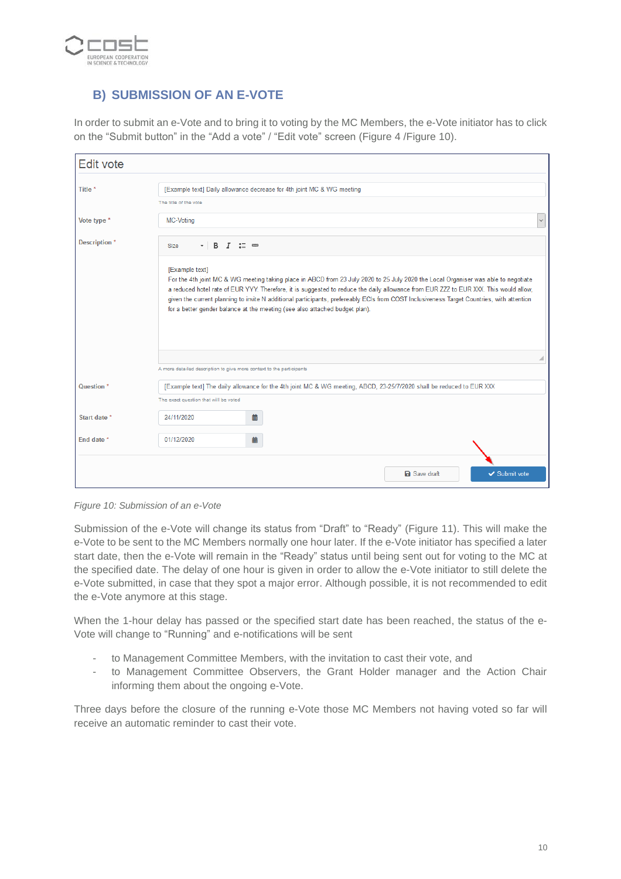

#### <span id="page-9-0"></span>**B) SUBMISSION OF AN E-VOTE**

In order to submit an e-Vote and to bring it to voting by the MC Members, the e-Vote initiator has to click on the "Submit button" in the "Add a vote" / "Edit vote" screen [\(Figure 4](#page-5-0) [/Figure 10\)](#page-9-1).

| Edit vote                                                                                                                                                                                                                                                                                                                                                                                                                                                                                                                |                                                                                                                      |   |  |  |  |  |
|--------------------------------------------------------------------------------------------------------------------------------------------------------------------------------------------------------------------------------------------------------------------------------------------------------------------------------------------------------------------------------------------------------------------------------------------------------------------------------------------------------------------------|----------------------------------------------------------------------------------------------------------------------|---|--|--|--|--|
| Title *                                                                                                                                                                                                                                                                                                                                                                                                                                                                                                                  | [Example text] Daily allowance decrease for 4th joint MC & WG meeting                                                |   |  |  |  |  |
|                                                                                                                                                                                                                                                                                                                                                                                                                                                                                                                          | The title of the vote                                                                                                |   |  |  |  |  |
| Vote type *                                                                                                                                                                                                                                                                                                                                                                                                                                                                                                              | <b>MC-Voting</b>                                                                                                     |   |  |  |  |  |
| Description *                                                                                                                                                                                                                                                                                                                                                                                                                                                                                                            | $\cdot$ B $I \cong \circledcirc$<br><b>Size</b>                                                                      |   |  |  |  |  |
| [Example text]<br>For the 4th joint MC & WG meeting taking place in ABCD from 23 July 2020 to 25 July 2020 the Local Organiser was able to negotiate<br>a reduced hotel rate of EUR YYY. Therefore, it is suggested to reduce the daily allowance from EUR ZZZ to EUR XXX. This would allow,<br>given the current planning to invite N additional participants, prefereably ECIs from COST Inclusiveness Target Countries, with attention<br>for a better gender balance at the meeting (see also attached budget plan). |                                                                                                                      |   |  |  |  |  |
|                                                                                                                                                                                                                                                                                                                                                                                                                                                                                                                          |                                                                                                                      | ◢ |  |  |  |  |
|                                                                                                                                                                                                                                                                                                                                                                                                                                                                                                                          | A more detailed description to give more context to the participants                                                 |   |  |  |  |  |
| Question <sup>*</sup>                                                                                                                                                                                                                                                                                                                                                                                                                                                                                                    | [Example text] The daily allowance for the 4th joint MC & WG meeting, ABCD, 23-25/7/2020 shall be reduced to EUR XXX |   |  |  |  |  |
|                                                                                                                                                                                                                                                                                                                                                                                                                                                                                                                          | The exact question that will be voted                                                                                |   |  |  |  |  |
| Start date *                                                                                                                                                                                                                                                                                                                                                                                                                                                                                                             | 24/11/2020<br>曲                                                                                                      |   |  |  |  |  |
| End date *                                                                                                                                                                                                                                                                                                                                                                                                                                                                                                               | 01/12/2020<br>齒                                                                                                      |   |  |  |  |  |
|                                                                                                                                                                                                                                                                                                                                                                                                                                                                                                                          |                                                                                                                      |   |  |  |  |  |
|                                                                                                                                                                                                                                                                                                                                                                                                                                                                                                                          | <b>a</b> Save draft<br>✔ Submit vote                                                                                 |   |  |  |  |  |

<span id="page-9-1"></span>*Figure 10: Submission of an e-Vote*

Submission of the e-Vote will change its status from "Draft" to "Ready" [\(Figure 11\)](#page-10-2). This will make the e-Vote to be sent to the MC Members normally one hour later. If the e-Vote initiator has specified a later start date, then the e-Vote will remain in the "Ready" status until being sent out for voting to the MC at the specified date. The delay of one hour is given in order to allow the e-Vote initiator to still delete the e-Vote submitted, in case that they spot a major error. Although possible, it is not recommended to edit the e-Vote anymore at this stage.

When the 1-hour delay has passed or the specified start date has been reached, the status of the e-Vote will change to "Running" and e-notifications will be sent

- to Management Committee Members, with the invitation to cast their vote, and
- to Management Committee Observers, the Grant Holder manager and the Action Chair informing them about the ongoing e-Vote.

Three days before the closure of the running e-Vote those MC Members not having voted so far will receive an automatic reminder to cast their vote.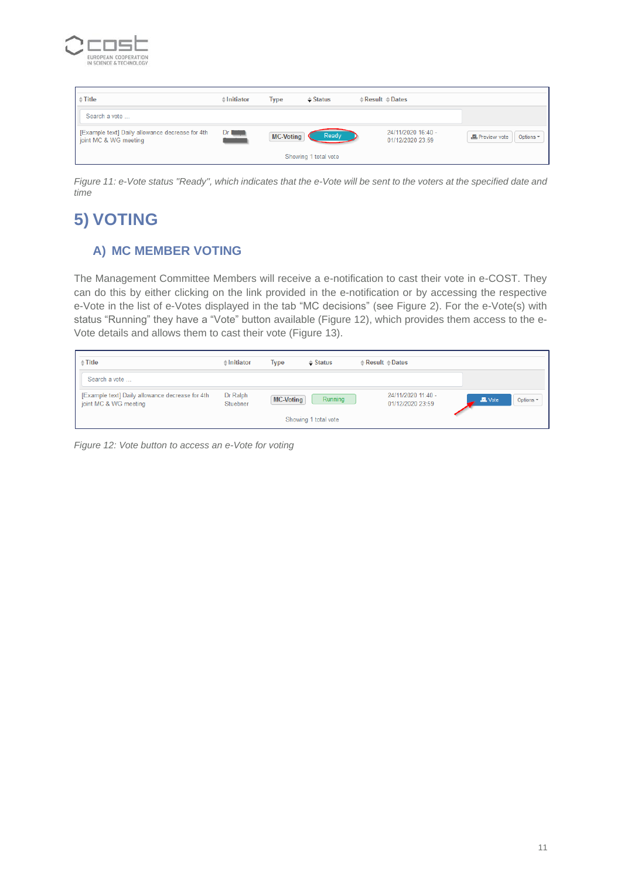

| $\triangleq$ Title                                                       | $\doteq$ Initiator | <b>Type</b>      | $\triangle$ Status   | $\triangle$ Result $\triangle$ Dates   |                           |
|--------------------------------------------------------------------------|--------------------|------------------|----------------------|----------------------------------------|---------------------------|
| Search a vote                                                            |                    |                  |                      |                                        |                           |
| [Example text] Daily allowance decrease for 4th<br>joint MC & WG meeting | $Dr$ $\Box$        | <b>MC-Voting</b> | Ready                | 24/11/2020 16:40 -<br>01/12/2020 23:59 | Preview vote<br>Options - |
|                                                                          |                    |                  | Showing 1 total vote |                                        |                           |

<span id="page-10-2"></span>*Figure 11: e-Vote status "Ready", which indicates that the e-Vote will be sent to the voters at the specified date and time*

## <span id="page-10-0"></span>**5) VOTING**

#### <span id="page-10-1"></span>**A) MC MEMBER VOTING**

The Management Committee Members will receive a e-notification to cast their vote in e-COST. They can do this by either clicking on the link provided in the e-notification or by accessing the respective e-Vote in the list of e-Votes displayed in the tab "MC decisions" (see [Figure 2\)](#page-4-2). For the e-Vote(s) with status "Running" they have a "Vote" button available [\(Figure 12\)](#page-10-3), which provides them access to the e-Vote details and allows them to cast their vote [\(Figure 13\)](#page-11-0).

| $\triangleq$ Title                                                       | $\triangle$ Initiator | <b>Type</b>      | $\triangle$ Status   | $\triangle$ Result $\triangle$ Dates   |             |           |
|--------------------------------------------------------------------------|-----------------------|------------------|----------------------|----------------------------------------|-------------|-----------|
| Search a vote                                                            |                       |                  |                      |                                        |             |           |
| [Example text] Daily allowance decrease for 4th<br>joint MC & WG meeting | Dr Ralph<br>Stuebner  | <b>MC-Voting</b> | Running              | 24/11/2020 11:40 -<br>01/12/2020 23:59 | $\Box$ Vote | Options - |
|                                                                          |                       |                  | Showing 1 total vote |                                        |             |           |

<span id="page-10-3"></span>*Figure 12: Vote button to access an e-Vote for voting*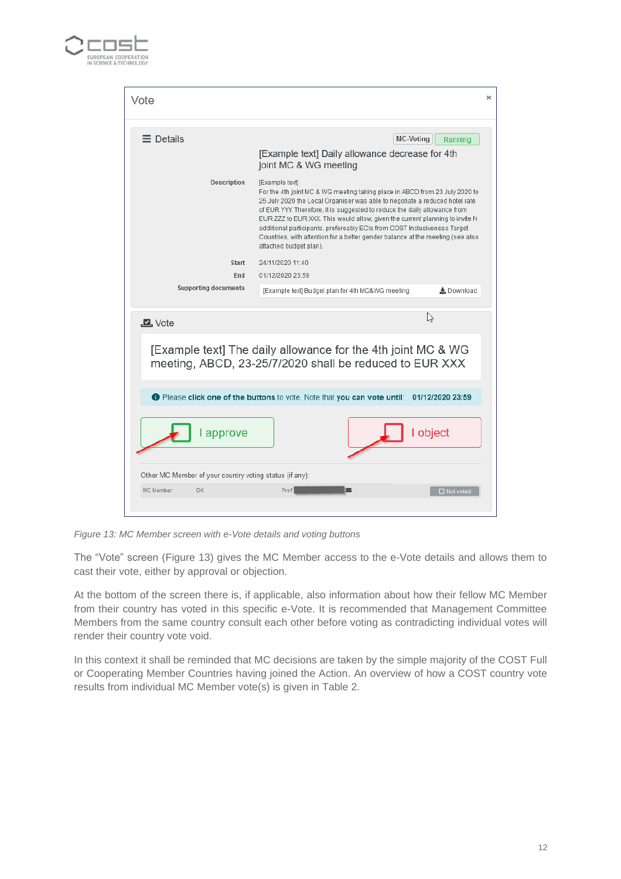

| Vote                                                    | ×                                                                                                                                                                                                                                                                                                                                                                                                                                                                                                                                 |
|---------------------------------------------------------|-----------------------------------------------------------------------------------------------------------------------------------------------------------------------------------------------------------------------------------------------------------------------------------------------------------------------------------------------------------------------------------------------------------------------------------------------------------------------------------------------------------------------------------|
| $\equiv$ Details                                        | MC-Voting<br>Running<br>[Example text] Daily allowance decrease for 4th<br>joint MC & WG meeting                                                                                                                                                                                                                                                                                                                                                                                                                                  |
| Description                                             | [Example text]<br>For the 4th joint MC & WG meeting taking place in ABCD from 23 July 2020 to<br>25 July 2020 the Local Organiser was able to negotiate a reduced hotel rate<br>of EUR YYY. Therefore, it is suggested to reduce the daily allowance from<br>EUR ZZZ to EUR XXX. This would allow, given the current planning to invite N<br>additional participants, prefereably ECIs from COST Inclusiveness Target<br>Countries, with attention for a better gender balance at the meeting (see also<br>attached budget plan). |
| Start                                                   | 24/11/2020 11:40                                                                                                                                                                                                                                                                                                                                                                                                                                                                                                                  |
| End<br><b>Supporting documents</b>                      | 01/12/2020 23:59                                                                                                                                                                                                                                                                                                                                                                                                                                                                                                                  |
|                                                         | [Example text] Budget plan for 4th MC&WG meeting<br>上 Download                                                                                                                                                                                                                                                                                                                                                                                                                                                                    |
| $\Box$ , Vote                                           | R)                                                                                                                                                                                                                                                                                                                                                                                                                                                                                                                                |
|                                                         | [Example text] The daily allowance for the 4th joint MC & WG<br>meeting, ABCD, 23-25/7/2020 shall be reduced to EUR XXX                                                                                                                                                                                                                                                                                                                                                                                                           |
|                                                         | <b>O</b> Please click one of the buttons to vote. Note that you can vote until: 01/12/2020 23:59                                                                                                                                                                                                                                                                                                                                                                                                                                  |
| l approve                                               | I object                                                                                                                                                                                                                                                                                                                                                                                                                                                                                                                          |
| Other MC Member of your country voting status (if any): |                                                                                                                                                                                                                                                                                                                                                                                                                                                                                                                                   |
| MC Member<br><b>DK</b>                                  | Prof<br>▽<br>□ Not voted                                                                                                                                                                                                                                                                                                                                                                                                                                                                                                          |
|                                                         |                                                                                                                                                                                                                                                                                                                                                                                                                                                                                                                                   |

<span id="page-11-0"></span>*Figure 13: MC Member screen with e-Vote details and voting buttons*

The "Vote" screen [\(Figure 13\)](#page-11-0) gives the MC Member access to the e-Vote details and allows them to cast their vote, either by approval or objection.

At the bottom of the screen there is, if applicable, also information about how their fellow MC Member from their country has voted in this specific e-Vote. It is recommended that Management Committee Members from the same country consult each other before voting as contradicting individual votes will render their country vote void.

In this context it shall be reminded that MC decisions are taken by the simple majority of the COST Full or Cooperating Member Countries having joined the Action. An overview of how a COST country vote results from individual MC Member vote(s) is given in [Table 2.](#page-12-1)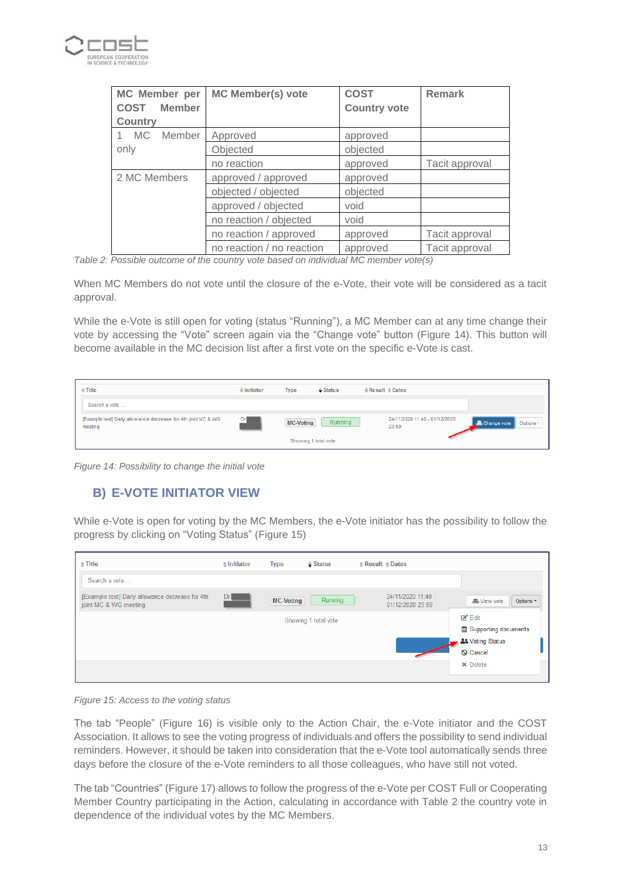

| MC Member per<br><b>COST</b><br><b>Member</b><br><b>Country</b> | <b>MC Member(s) vote</b>  | <b>COST</b><br><b>Country vote</b> | <b>Remark</b>  |
|-----------------------------------------------------------------|---------------------------|------------------------------------|----------------|
| 1 MC<br>Member                                                  | Approved                  | approved                           |                |
| only                                                            | Objected                  | objected                           |                |
|                                                                 | no reaction               | approved                           | Tacit approval |
| 2 MC Members                                                    | approved / approved       | approved                           |                |
|                                                                 | objected / objected       | objected                           |                |
|                                                                 | approved / objected       | void                               |                |
|                                                                 | no reaction / objected    | void                               |                |
|                                                                 | no reaction / approved    | approved                           | Tacit approval |
|                                                                 | no reaction / no reaction | approved                           | Tacit approval |

<span id="page-12-1"></span>*Table 2: Possible outcome of the country vote based on individual MC member vote(s)*

When MC Members do not vote until the closure of the e-Vote, their vote will be considered as a tacit approval.

While the e-Vote is still open for voting (status "Running"), a MC Member can at any time change their vote by accessing the "Vote" screen again via the "Change vote" button [\(Figure 14\)](#page-12-2). This button will become available in the MC decision list after a first vote on the specific e-Vote is cast.

| $\triangleq$ Title                                                       | $\triangleq$ Initiator | <b>Type</b>          | $\triangleq$ Status | $\triangle$ Result $\triangleq$ Dates  |                          |
|--------------------------------------------------------------------------|------------------------|----------------------|---------------------|----------------------------------------|--------------------------|
| Search a vote                                                            |                        |                      |                     |                                        |                          |
| [Example text] Daily allowance decrease for 4th joint MC & WG<br>meeting | Dr                     | MC-Voting            | Running             | 24/11/2020 11:40 - 01/12/2020<br>23:59 | Change vote<br>Options * |
|                                                                          |                        | Showing 1 total vote |                     |                                        |                          |

<span id="page-12-2"></span>*Figure 14: Possibility to change the initial vote*

#### <span id="page-12-0"></span>**B) E-VOTE INITIATOR VIEW**

While e-Vote is open for voting by the MC Members, the e-Vote initiator has the possibility to follow the progress by clicking on "Voting Status" [\(Figure 15\)](#page-12-3)

| $\triangleq$ Title                                                       | $\triangle$ Initiator | <b>Type</b>      | $\triangle$ Status   | $\triangle$ Result $\triangle$ Dates   |                                |
|--------------------------------------------------------------------------|-----------------------|------------------|----------------------|----------------------------------------|--------------------------------|
| Search a vote                                                            |                       |                  |                      |                                        |                                |
| [Example text] Daily allowance decrease for 4th<br>joint MC & WG meeting | Dr                    | <b>MC-Voting</b> | Running              | 24/11/2020 11:40 -<br>01/12/2020 23:59 | <b></b> View vote<br>Options - |
|                                                                          |                       |                  | Showing 1 total vote |                                        | $Z^*$ Edit                     |
|                                                                          |                       |                  |                      |                                        | <b>菌 Supporting documents</b>  |
|                                                                          |                       |                  |                      |                                        | <b>At Voting Status</b>        |
|                                                                          |                       |                  |                      |                                        | <b>Q</b> Cancel                |
|                                                                          |                       |                  |                      |                                        | <b>X</b> Delete                |
|                                                                          |                       |                  |                      |                                        |                                |

<span id="page-12-3"></span>*Figure 15: Access to the voting status*

The tab "People" [\(Figure 16\)](#page-13-1) is visible only to the Action Chair, the e-Vote initiator and the COST Association. It allows to see the voting progress of individuals and offers the possibility to send individual reminders. However, it should be taken into consideration that the e-Vote tool automatically sends three days before the closure of the e-Vote reminders to all those colleagues, who have still not voted.

The tab "Countries" [\(Figure 17\)](#page-13-2) allows to follow the progress of the e-Vote per COST Full or Cooperating Member Country participating in the Action, calculating in accordance with [Table 2](#page-12-1) the country vote in dependence of the individual votes by the MC Members.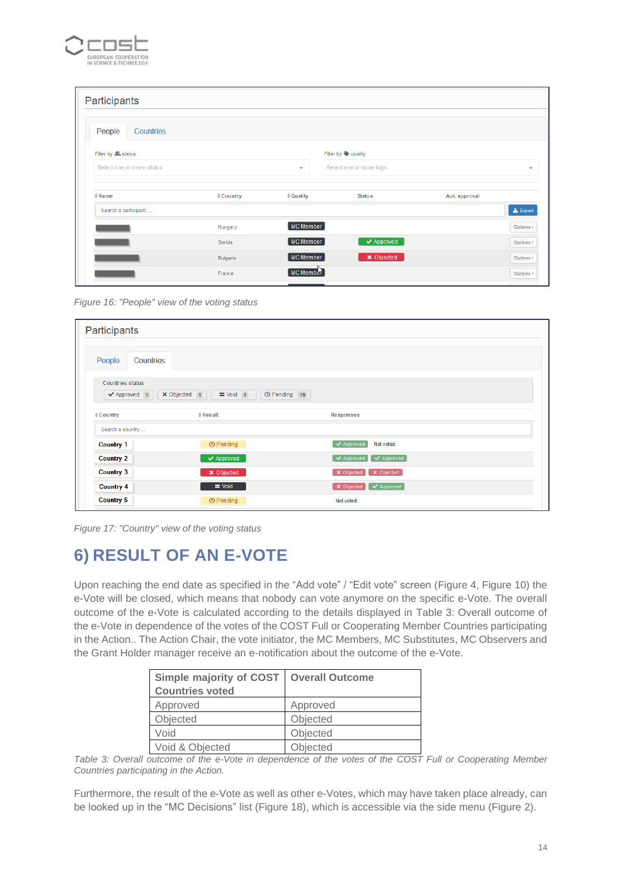

| Participants                 |                     |                     |                                |               |                 |
|------------------------------|---------------------|---------------------|--------------------------------|---------------|-----------------|
| People<br>Countries          |                     |                     |                                |               |                 |
| Filter by <b>L</b> , status: |                     |                     | Filter by <b>Quality:</b>      |               |                 |
| Select one or more status    |                     | $\mathbf{v}$        | Select one or more tags        |               | $\mathcal{P}$   |
| $\doteqdot$ Name             | $\triangle$ Country | $\doteqdot$ Quality | <b>Status</b>                  | Aut. approval |                 |
| Search a participant         |                     |                     |                                |               | <b>上</b> Export |
|                              | Hungary             | <b>MC Member</b>    |                                |               | Options -       |
|                              | Serbia              | MC Member           | $\blacktriangleright$ Approved |               | Options *       |
|                              | Bulgaria            | MC Member           | <b>×</b> Objected              |               | Options -       |
|                              | France              | MC Member           |                                |               | Options *       |

<span id="page-13-1"></span>*Figure 16: "People" view of the voting status*

| Participants                     |                                                   |                              |  |
|----------------------------------|---------------------------------------------------|------------------------------|--|
| Countries<br>People              |                                                   |                              |  |
| Countries status<br>✔ Approved 1 | <b>O</b> Pending 15<br>X Objected 1<br>$=$ Void 1 |                              |  |
| $\triangle$ Country              | $e$ Result                                        | <b>Responses</b>             |  |
| Search a country                 |                                                   |                              |  |
| <b>Country 1</b>                 | <b><i>©</i></b> Pending                           | ↓ Approved<br>Not voted      |  |
| <b>Country 2</b>                 | $\blacktriangleright$ Approved                    | ◯ Approved<br>Approved       |  |
| <b>Country 3</b>                 | × Objected                                        | X Objected<br>X Objected     |  |
| <b>Country 4</b>                 | $=$ Void                                          | <b>X</b> Objected V Approved |  |
| <b>Country 5</b>                 | <b><i>©</i></b> Pending                           | Not voted                    |  |

<span id="page-13-2"></span>*Figure 17: "Country" view of the voting status*

### <span id="page-13-0"></span>**6) RESULT OF AN E-VOTE**

Upon reaching the end date as specified in the "Add vote" / "Edit vote" screen [\(Figure 4,](#page-5-0) [Figure 10\)](#page-9-1) the e-Vote will be closed, which means that nobody can vote anymore on the specific e-Vote. The overall outcome of the e-Vote is calculated according to the details displayed in [Table 3: Overall outcome of](#page-13-3)  the e-Vote in dependence of the votes [of the COST Full or Cooperating Member Countries](#page-13-3) participating in [the Action..](#page-13-3) The Action Chair, the vote initiator, the MC Members, MC Substitutes, MC Observers and the Grant Holder manager receive an e-notification about the outcome of the e-Vote.

| Simple majority of COST   Overall Outcome |          |
|-------------------------------------------|----------|
| <b>Countries voted</b>                    |          |
| Approved                                  | Approved |
| Objected                                  | Objected |
| Void                                      | Objected |
| Void & Objected                           | Objected |

<span id="page-13-3"></span>*Table 3: Overall outcome of the e-Vote in dependence of the votes of the COST Full or Cooperating Member Countries participating in the Action.*

Furthermore, the result of the e-Vote as well as other e-Votes, which may have taken place already, can be looked up in the "MC Decisions" list [\(Figure 18\)](#page-14-0), which is accessible via the side menu [\(Figure 2\)](#page-4-2).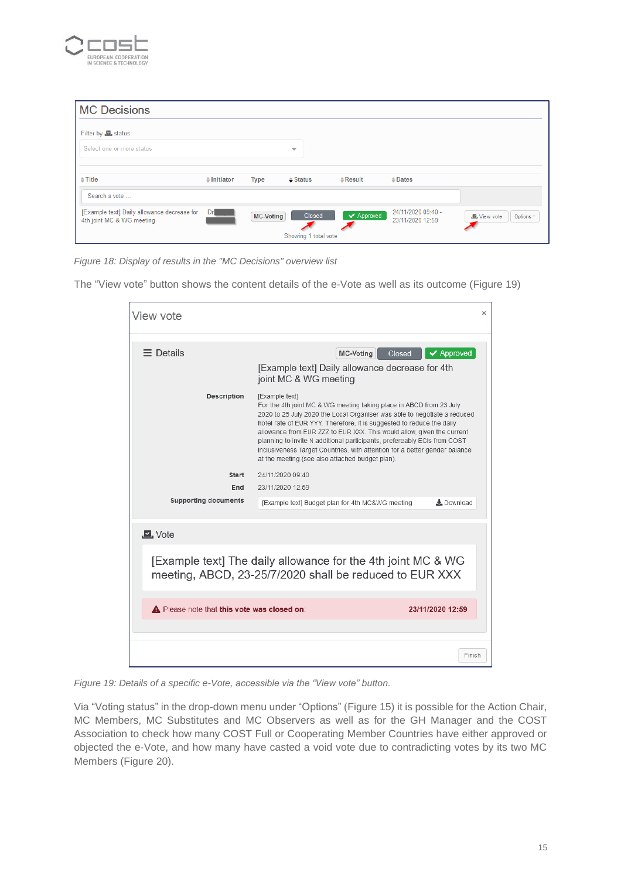

| <b>MC Decisions</b>                                                      |                       |             |                                |                    |                                        |                                 |
|--------------------------------------------------------------------------|-----------------------|-------------|--------------------------------|--------------------|----------------------------------------|---------------------------------|
| Filter by <b>E</b> , status:                                             |                       |             |                                |                    |                                        |                                 |
| Select one or more status                                                |                       |             | $\overline{\phantom{a}}$       |                    |                                        |                                 |
| $\triangleq$ Title                                                       | $\triangle$ Initiator | <b>Type</b> | $\triangleq$ Status            | $\triangle$ Result | $\triangle$ Dates                      |                                 |
| Search a vote                                                            |                       |             |                                |                    |                                        |                                 |
| [Example text] Daily allowance decrease for<br>4th joint MC & WG meeting | Dr                    | MC-Voting   | Closed<br>Showing 1 total vote | ✔ Approved         | 24/11/2020 09:40 -<br>23/11/2020 12:59 | <b>图</b> View vote<br>Options - |

<span id="page-14-0"></span>*Figure 18: Display of results in the "MC Decisions" overview list*

The "View vote" button shows the content details of the e-Vote as well as its outcome [\(Figure 19\)](#page-14-1)

| View vote                                   |                                                                                                                                                                                                                                                                                                                                                                                                                                                                                                                                                            | $\times$                       |
|---------------------------------------------|------------------------------------------------------------------------------------------------------------------------------------------------------------------------------------------------------------------------------------------------------------------------------------------------------------------------------------------------------------------------------------------------------------------------------------------------------------------------------------------------------------------------------------------------------------|--------------------------------|
| $\equiv$ Details                            | <b>MC-Voting</b><br>Closed<br>[Example text] Daily allowance decrease for 4th                                                                                                                                                                                                                                                                                                                                                                                                                                                                              | $\blacktriangleright$ Approved |
| Description                                 | joint MC & WG meeting<br>[Example text]<br>For the 4th joint MC & WG meeting taking place in ABCD from 23 July<br>2020 to 25 July 2020 the Local Organiser was able to negotiate a reduced<br>hotel rate of EUR YYY. Therefore, it is suggested to reduce the daily<br>allowance from EUR ZZZ to EUR XXX. This would allow, given the current<br>planning to invite N additional participants, prefereably ECIs from COST<br>Inclusiveness Target Countries, with attention for a better gender balance<br>at the meeting (see also attached budget plan). |                                |
| Start<br>End<br><b>Supporting documents</b> | 24/11/2020 09:40<br>23/11/2020 12:59<br>[Example text] Budget plan for 4th MC&WG meeting                                                                                                                                                                                                                                                                                                                                                                                                                                                                   | $\pm$ Download                 |
| $\Box$ , Vote                               |                                                                                                                                                                                                                                                                                                                                                                                                                                                                                                                                                            |                                |
|                                             | [Example text] The daily allowance for the 4th joint MC & WG<br>meeting, ABCD, 23-25/7/2020 shall be reduced to EUR XXX                                                                                                                                                                                                                                                                                                                                                                                                                                    |                                |
| A Please note that this vote was closed on: | 23/11/2020 12:59                                                                                                                                                                                                                                                                                                                                                                                                                                                                                                                                           |                                |
|                                             |                                                                                                                                                                                                                                                                                                                                                                                                                                                                                                                                                            | Finish                         |

<span id="page-14-1"></span>*Figure 19: Details of a specific e-Vote, accessible via the "View vote" button.*

Via "Voting status" in the drop-down menu under "Options" [\(Figure 15\)](#page-12-3) it is possible for the Action Chair, MC Members, MC Substitutes and MC Observers as well as for the GH Manager and the COST Association to check how many COST Full or Cooperating Member Countries have either approved or objected the e-Vote, and how many have casted a void vote due to contradicting votes by its two MC Members [\(Figure 20\)](#page-15-1).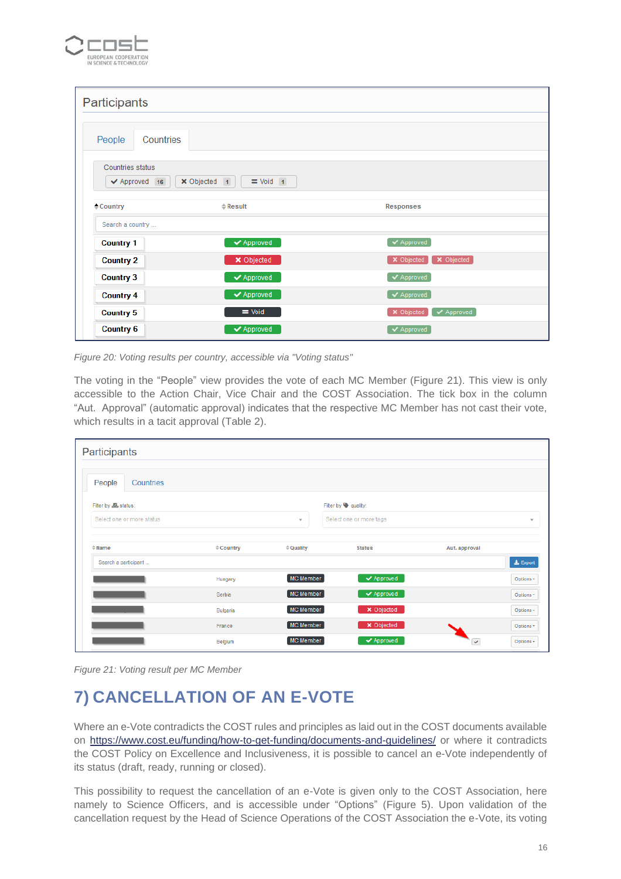

| Participants                                          |                                |                                |
|-------------------------------------------------------|--------------------------------|--------------------------------|
| Countries<br>People                                   |                                |                                |
| Countries status<br>$\blacktriangleright$ Approved 16 | X Objected 1<br>$=$ Void 1     |                                |
| $\triangle$ Country                                   | $\triangle$ Result             | Responses                      |
| Search a country                                      |                                |                                |
| <b>Country 1</b>                                      | $\blacktriangleright$ Approved | Approved                       |
| <b>Country 2</b>                                      | $\times$ Objected              | X Objected<br>X Objected       |
| <b>Country 3</b>                                      | $\blacktriangleright$ Approved | $\blacktriangleright$ Approved |
| <b>Country 4</b>                                      | $\blacktriangleright$ Approved | $\blacktriangleright$ Approved |
| <b>Country 5</b>                                      | $=$ Void                       | X Objected<br>✔ Approved       |
| <b>Country 6</b>                                      | $\blacktriangleright$ Approved | $\blacktriangleright$ Approved |

<span id="page-15-1"></span>*Figure 20: Voting results per country, accessible via "Voting status"*

The voting in the "People" view provides the vote of each MC Member [\(Figure 21\)](#page-15-2). This view is only accessible to the Action Chair, Vice Chair and the COST Association. The tick box in the column "Aut. Approval" (automatic approval) indicates that the respective MC Member has not cast their vote, which results in a tacit approval [\(Table 2\)](#page-12-1).

| Participants                  |                      |                          |                                |               |                          |
|-------------------------------|----------------------|--------------------------|--------------------------------|---------------|--------------------------|
| People<br>Countries           |                      |                          |                                |               |                          |
| Filter by <b>Le</b> , status: |                      |                          | Filter by <b>Quality:</b>      |               |                          |
| Select one or more status     |                      | $\overline{\phantom{a}}$ | Select one or more tags        |               | $\overline{\phantom{a}}$ |
| $\doteqdot$ Name              | $\triangleq$ Country | $\doteqdot$ Quality      | <b>Status</b>                  | Aut. approval |                          |
| Search a participant          |                      |                          |                                |               | $\pm$ Export             |
|                               | Hungary              | MC Member                | $\blacktriangleright$ Approved |               | Options -                |
|                               | Serbia               | MC Member                | ◆ Approved                     |               | Options *                |
|                               | Bulgaria             | MC Member                | <b>×</b> Objected              |               | Options -                |
|                               | France               | MC Member                | × Objected                     |               | Options *                |
|                               | Belgium              | MC Member                | $\blacktriangleright$ Approved | $\checkmark$  | Options -                |

<span id="page-15-2"></span>*Figure 21: Voting result per MC Member*

## <span id="page-15-0"></span>**7) CANCELLATION OF AN E-VOTE**

Where an e-Vote contradicts the COST rules and principles as laid out in the COST documents available on <https://www.cost.eu/funding/how-to-get-funding/documents-and-guidelines/> or where it contradicts the COST Policy on Excellence and Inclusiveness, it is possible to cancel an e-Vote independently of its status (draft, ready, running or closed).

This possibility to request the cancellation of an e-Vote is given only to the COST Association, here namely to Science Officers, and is accessible under "Options" [\(Figure 5\)](#page-6-0). Upon validation of the cancellation request by the Head of Science Operations of the COST Association the e-Vote, its voting